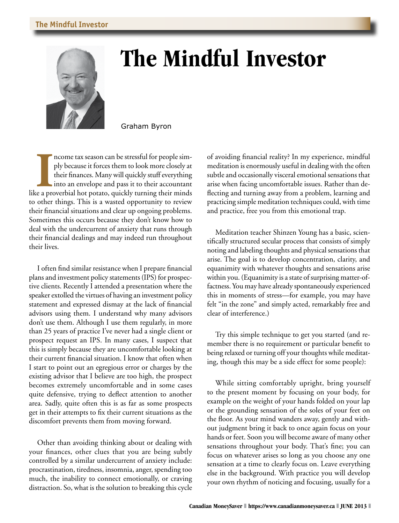

## **The Mindful Investor**

Graham Byron

Income tax season can be stressful for people simply because it forces them to look more closely at their finances. Many will quickly stuff everything into an envelope and pass it to their accountant like a proverbial hot ncome tax season can be stressful for people simply because it forces them to look more closely at their finances. Many will quickly stuff everything into an envelope and pass it to their accountant to other things. This is a wasted opportunity to review their financial situations and clear up ongoing problems. Sometimes this occurs because they don't know how to deal with the undercurrent of anxiety that runs through their financial dealings and may indeed run throughout their lives.

I often find similar resistance when I prepare financial plans and investment policy statements (IPS) for prospective clients. Recently I attended a presentation where the speaker extolled the virtues of having an investment policy statement and expressed dismay at the lack of financial advisors using them. I understand why many advisors don't use them. Although I use them regularly, in more than 25 years of practice I've never had a single client or prospect request an IPS. In many cases, I suspect that this is simply because they are uncomfortable looking at their current financial situation. I know that often when I start to point out an egregious error or charges by the existing advisor that I believe are too high, the prospect becomes extremely uncomfortable and in some cases quite defensive, trying to deflect attention to another area. Sadly, quite often this is as far as some prospects get in their attempts to fix their current situations as the discomfort prevents them from moving forward.

Other than avoiding thinking about or dealing with your finances, other clues that you are being subtly controlled by a similar undercurrent of anxiety include: procrastination, tiredness, insomnia, anger, spending too much, the inability to connect emotionally, or craving distraction. So, what is the solution to breaking this cycle

of avoiding financial reality? In my experience, mindful meditation is enormously useful in dealing with the often subtle and occasionally visceral emotional sensations that arise when facing uncomfortable issues. Rather than deflecting and turning away from a problem, learning and practicing simple meditation techniques could, with time and practice, free you from this emotional trap.

Meditation teacher Shinzen Young has a basic, scientifically structured secular process that consists of simply noting and labeling thoughts and physical sensations that arise. The goal is to develop concentration, clarity, and equanimity with whatever thoughts and sensations arise within you. (Equanimity is a state of surprising matter-offactness. You may have already spontaneously experienced this in moments of stress—for example, you may have felt "in the zone" and simply acted, remarkably free and clear of interference.)

Try this simple technique to get you started (and remember there is no requirement or particular benefit to being relaxed or turning off your thoughts while meditating, though this may be a side effect for some people):

While sitting comfortably upright, bring yourself to the present moment by focusing on your body, for example on the weight of your hands folded on your lap or the grounding sensation of the soles of your feet on the floor. As your mind wanders away, gently and without judgment bring it back to once again focus on your hands or feet. Soon you will become aware of many other sensations throughout your body. That's fine; you can focus on whatever arises so long as you choose any one sensation at a time to clearly focus on. Leave everything else in the background. With practice you will develop your own rhythm of noticing and focusing, usually for a